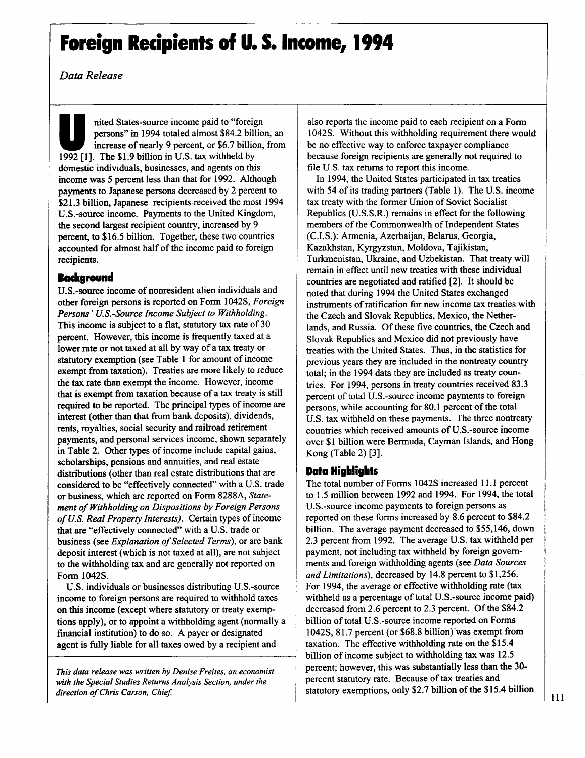Data Release

**IDED**<br>
1994 **contract the part of the state of nearly 9 percent**, or \$6.7 billion<br>
1992 [1]. The \$1.9 billion in U.S. tax withheld by nited States-source income paid to "foreign persons" in 1994 totaled almost \$84.2 billion, an increase of nearly 9 percent, or \$6.7 billion, from domestic individuals, businesses, and agents on this income was **<sup>5</sup>** percent less than that for **1992.** Although payments to Japanese persons decreased **by** <sup>2</sup> percent to **\$21.3** billion, Japanese recipients received the most 1994 U.S.-source income. Payments to the United Kingdom, the second largest recipient country, increased **by <sup>9</sup>** percent, to **\$16.5** billion. Together, these two countries accounted for almost half of the income paid to foreign recipients.

# **Background**

U.S.-source income of nonresident alien individuals and other foreign persons is reported on Form 1042S, Foreign Persons' U.S.-Source Income Subject to Withholding. This income is subject to <sup>a</sup> flat, statutory tax rate of**30** percent. However, this income is frequently taxed at a lower rate or not taxed at all **by** way of <sup>a</sup> tax treaty or statutory exemption (see Table 1 for amount of income exempt from taxation). Treaties are more likely to reduce the tax rate than exempt the income. However, income that is exempt from taxation because of <sup>a</sup> tax treaty is still required to be reported. The principal types of income are interest (other than that from bank deposits), dividends, rents, royalties, social security and railroad retirement payments, and personal services income, shown separately in Table 2. Other types of income include capital gains, scholarships, pensions and annuities, and real estate distributions (other than real estate distributions that are considered to be "effectively connected" with a **U.S.** trade or business, which are reported on Form **8288A,** Statement of Withholding on Dispositions by Foreign Persons of U.S. Real Property Interests). Certain types of income that are "effectively connected" with <sup>a</sup> **U.S.** trade or business (see *Explanation of Selected Terms*), or are bank deposit interest (which is not taxed at all), are not subject to the withholding tax and are generally not reported on Form 1042S.

**U.S.** individuals or businesses distributing U.S.-source income to foreign persons are required to withhold taxes on this income (except where statutory or treaty exemptions apply), or to appoint <sup>a</sup> withholding agent (normally <sup>a</sup> financial institution) to do so. **A** payer or designated agent is fully liable for all taxes owed **by** a recipient and

This data release was written **by** Denise Freites, an economist with the Special Studies Returns Analysis Section, under the direction of Chris Carson, Chief.

also reports the income paid to each recipient on a Form 1042S. Without this withholding requirement there would be no effective way to enforce taxpayer compliance because foreign recipients are generally not required to file **U.S.** tax returns to report this income.

In 1994, the United States participated in tax treaties with <sup>54</sup> of its trading partners (Table **1).** The **U.S.** income tax treaty with the former Union of Soviet Socialist Republics **(U.S.S.R.)** remains in effect for the following members of the Commonwealth of Independent States **(C.I.S.):** Armenia, Azerbaijan, Belarus, Georgia, Kazakhstan, Kyrgyzstan, Moldova, Tajikistan, Turkmenistan, Ukraine, and Uzbekistan. That treaty will remain in effect until new treaties with these individual countries are negotiated and ratified [2]. It should be noted that during 1994 the United States exchanged instruments of ratification for new income tax treaties with the Czech and Slovak Republics, Mexico, the Netherlands, and Russia. **Of** these five countries, the Czech and Slovak Republics and Mexico did not previously have treaties with the United States. Thus, in the statistics for previous years they are included in the nontreaty country total; in the 1994 data they are included as treaty countries. For 1994, persons in treaty countries received **83.3** percent of total U.S.-source income payments to foreign persons, while accounting for 80.1 percent of the total **U.S.** tax withheld on these payments. The three nontreaty countries which received amounts of U.S.-source income over **\$1** billion were Bermuda, Cayman Islands, and Hong Kong (Table 2) **[3].**

### Data Highlights

The total number of Forms 1042S increased 11.1 percent to **1.5** million between **1992** and 1994. For 1994, the total U.S.-source income payments to foreign persons as reported on these forms increased **by 8.6** percent to \$84.2 billion. The average payment decreased to **\$55,146,** down **2.3** percent from **1992.** The average **U.S.** tax withheld per payment, not including tax withheld **by** foreign governments and foreign withholding agents (see Data Sources and Limitations), decreased **by** 14.8 percent to **\$1,256.** For 1994, the average or effective withholding rate (tax withheld as a percentage of total U.S.-source income paid) decreased from **2.6** percent to **2.3** percent. **Of**the \$84.2 billion of total U.S.-source income reported on Forms 1042S, **81.7** percent (or **\$68.8** billion)'was exempt ftom taxation. The effective withholding rate on the \$15.4 billion of income subject to withholding tax was **12.5** percent; however, this was substantially less than the **30** percent statutory rate. Because of tax treaties and statutory exemptions, only \$2.7 billion of the \$15.4 billion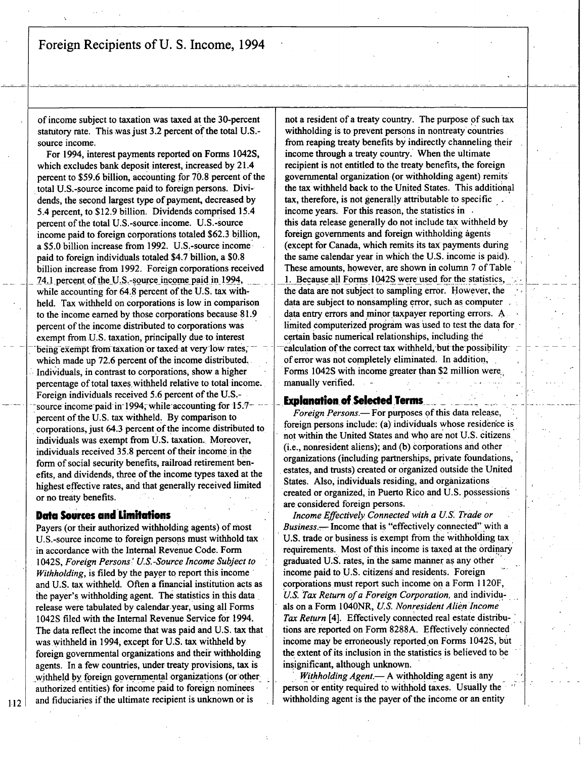of income subject to taxation was taxed at the 30-percent statutory rate. This was just 3.2 percent of the total U.S.source income.

For 1994, interest payments reported on Forms 1042S, which excludes bank deposit interest, increased **by** 21.4 percent to **\$59.6** billion, accounting for **70.8** percent of the total U.S.-source income paid to foreign persons. Dividends, the second largest type of payment, decreased by 5.4 percent, to **\$12.9** billion. Dividends comprised 15.4 percent of the total U.S.-source income. U.S.-source income paid to foreign corporations totaled **\$62.3** billion, <sup>a</sup> **\$5.0** billion increase from **1992.** U.S..-source income paid to foreign individuals totaled \$4.7 billion, a **\$0.8** billion increase-from **1992.** Foreign corporations received 74.1 percent of the U.S.-source income paid in 1994, while accounting for 64.8 percent of the U.S. tax withheld. Tax withheld on corporations is low in comparison to the income earned **by** those corporations because **81.9** percent of the income distributed to corporations was exempt from U.S. taxation, principally due-to interest being exempt from taxation or taxed at very low rates, which made up 72.6 percent of the income distributed. Individuals, in contrast to corporations, show <sup>a</sup> higher percentage of total taxes,withheld relative to total income., Foreign individuals received **5.6** percent of the **U.S.** source income-paid-in-1994, while-accounting for 15.7percent of.the **U.S.** tax withheld. **By** comparison to corporations, just 64.3 percent of the income distributed to individuals was exempt from **U.S.** taxation.. Moreover, individuals received 35.8 percent of their income in the form of social security benefits, railroad retirement benefits, and dividends, three of the income types taxed at the highest effective rates, and that generally received limited or no treaty benefits.

#### **Data Sources and Limitations**

112

Payers (or their authorized withholding agents) of most U.S.-source income t o foreign persons must withhold tax **'** in accordance with the Internal Revenue Code. Form 1042S, Foreign Persons:' U.S.-Source Income Subject to Withholding, is filed **by** the payer to report this income **'** and **U.S.** tax withheld. Often a financial institution acts as the payer's withholding agent. The statistics in this data **'** release were tabulated **by** calendar.year, using all Forms 1042S filed with the Internal Revenue Service for 1994. The data reflect the income that was paid and **U.S.** tax that was withheld in 1994, except for U.S. tax withheld by foreign governmental organizations and their withholding agents. In <sup>a</sup> few countries, under treaty provisions, tax is withheld by foreign governmental organizations (or other authorized entities) for income paid to foreign nominees and fiduciaries if the ultimate recipient is unknown or is

not a resident of <sup>a</sup> treaty country. The purpose **of** such tax withholding is to prevent persons in nontreaty countries from reaping treaty benefits **by** indirectly channeling their income through <sup>a</sup> treaty country. When the ultimate recipient is not entitled to the treaty benefits, the foreign governmental organization (or withholding agent) remits' the tax withheld back to the United States. This additional tax, therefore, is not generally attributable to specific income years. For this reason, the statistics in this data release generally do not include tax withheld **by** foreign governments and foreign withholding agents (except for Canada, which remits its tax payments during the same calendar year in which the **U.S.** income is paid). These amounts, however, are shown in column **<sup>7</sup>** of Table 1. Because all Forms 1042S were used for the statistics, the data are not subject to sampling error. However, the data are subject to nonsampling error, such as computer data entry errors and minor taxpayer reporting errors. **A,** limited computerized program was used to test the data for certain basic numerical relationships, including the calculation of the correct tax withheld, but the possibilityof error was not completely eliminated. In addition, Forms 1042S with income greater than \$2 million were. manually verified.

#### **Explanation of Selected Terms**

Foreign Persons.- For purposes of this data release, foreign persons include: (a) individuals whose residence is not within the United States and who are not U.S. citizens, (i.e., nonresident aliens); and (b) corporations and other organizations (including partnerships, private foundations, estates, and trusts) created or organized outside the United States. Also, individuals residing, and organizations created or organized,, in Puerto Rico and **U.S.** possessions are considered foreign persons.

Income Effectively Connected with a **US.** Trade or Business. - Income that is "effectively connected" with a **U.S.** trade or business is exempt from the withholding tax, requirements. Most of this income is taxed at the ordinary graduated U.S. rates, in the same manner as any other **'** income paid to **U.S.** citizens and residents. Foreign corporations must report such income on a Form 1120F, U.S. Tax Return of a Foreign Corporation, and individuals on <sup>a</sup> Form 104ONR, **US.** Nonresident Alien Income Tax Return [4]. Effectively connected real estate distributions are reported on Form 8288A. Effectively connected income may be erroneously reported on Forms 1042S, but the extent of its inclusion in the statistics is believed to be insignificant, although unknown.

Withholding Agent.- A withholding agent is any person or entity required to withhold taxes. Usually the withholding agent is the payer of the income or an entity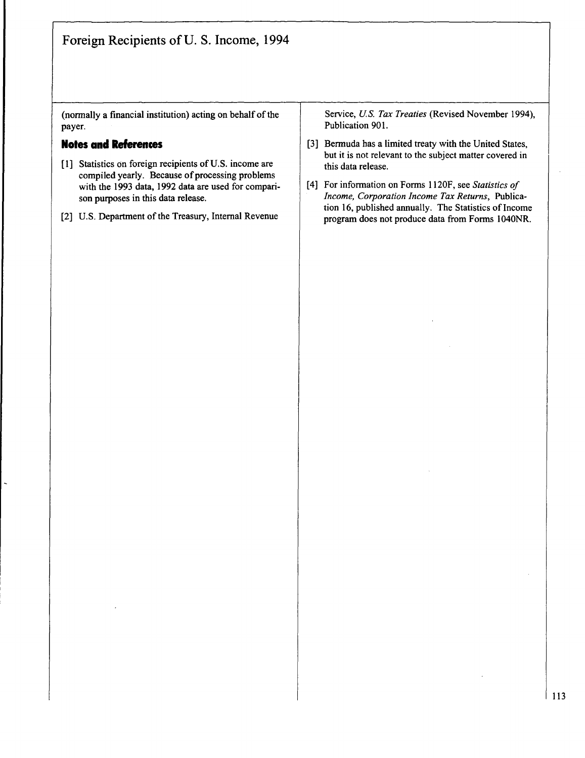(normally a financial institution) acting on behalf of the payer.

### Notes and References

- **[1]** Statistics on foreign recipients of **U.S.** income are compiled yearly. Because of processing problems with the **1993** data, **1992** data are used for comparison purposes in this data release.
- [2] **U.S.** Department of the Treasury, Internal Revenue

Service, U.S. Tax Treaties (Revised November 1994), Publication **901.**

- **[3]** Bermuda has <sup>a</sup> limited treaty with the United States, but it is not relevant to the subject matter covered in this data release.
- [4] For information on Forms **<sup>I</sup>** 120F, see Statistics of Income, Corporation Income Tax Returns, Publication 16, published annually. The Statistics of Income program does not produce data from Forms 1040NR.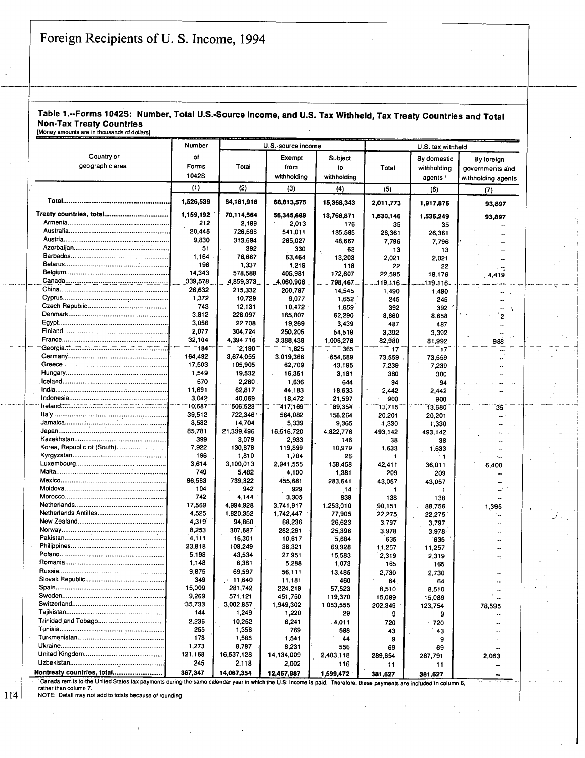#### Table 1.-Forms 1042S: Number, Total U.S.-Source Income, and **U.S.** Tax Withheld, Tax Treaty Countries and Total Non-Tax Treaty Countries [Money amounts are in thousands **of** dollars]

Number **U.S.-source income**  U.S. tax withheld Country or **of** Exempt Subject **By** domestic **By** foreign geographic area **Forms** Forms Total from to Total withholding governments and 1042S withholding withholding withholding agents withholding agents **(1)** (2) **(3)** (4) **(5) (6) (7)** Total **......................................................... 1,526,539** 84,181,918 **68,813,575 15,368,343 2,011,773 1,917,876 93,897** Treaty countries, total**.................................... 1,159,192** 70,114,564 **56,345,688 13,768,871 1,630,146** 1,536o249 **93,897** Armenia**.......................................................** 212 **2,189 2,013 <sup>176</sup> 35 35** Australia **...................................................... .** 20,445 **726,596** 541,011 **185,585 26,361 26,361** ٠. Austria**......................................................... 9,830** 313,694 **265,027 48,667 7,796 7,796** ÷. Azerbaijan **.................................................... 51 392 330 62 13 <sup>13</sup>** Barbados **............. : .......................................** 1,164 **76,667** 63,464 **13,203** 2,021 2,021 Belarus**........................................** <sup>i</sup> **............... 196 1,337 1,219 118** 22 22 Belgium **........................................................** 14,343 **578,588 405,981 172,607 22,595 18,176** 4,416 Canada **... ........................................ ------ 339,578 4,859,373** 4,060,906 **\_798,467- ---119,116- \_\_1~19- 16-** China **.................................................... I ....... 26,632 215,332 200,787** 14,545 1,490 1,490 Cyprus **................................... ..................... 1,372 10,729 9,077 1,652** 245 245  $\ddot{\phantom{a}}$ Czech Republic **...........................................** 743 **12,131** 10,472 **1,659 392 392**  $\mathbf{v}$ Denmark**............. ........................................ 3,812 228,097 165,807 62,290 8,660 8,658** <sup>2</sup> **Egypt ........................................................... 3,056 22,708 19,269** 3,439 **487 487**  $\sim$ Finland **......................................................... 2,077** 304,724 **250,205** 54,519 **3,392 3,392 <sup>7</sup>** France **.........................................................** 32,104 4,394,716 **3,388,438 1,006,278 82,980 81,992 <sup>988</sup> \_** -Georgia.~**................ .......................................-. -** -184~ **- -21-190- - -1,825 -7 - - <sup>365</sup> <sup>17</sup>** Æ. Germany **......................................................** 164,492 **3,674,055 3,019,366 .654,689 73,559 73,559** Ļ. Greece**......................................................... 17,503 105,905 62,709** 43,195 **7,239 7,239**  $\ddot{\phantom{a}}$ Hungary**.......................................................** 1,549 **19,532 16,351 3,181 380 380**  $\ddot{\phantom{a}}$ Iceland **......................................................... -570 2,280 1,636** 644 94 94  $\ddotsc$ India **............................................................. 11,691 62,817** 44,183 **18,633** 2,442 2,442  $\overline{a}$ Indonesia **.....................................................** 3,042 40,069 **18,472 21,597 900 900**  $\overline{a}$ **...... ------10;687-- -506,523--- 7 --4171-169-- -89,354 --13"715-- \_35** Italy **....................... <sup>d</sup> ............. 39,512 722,346,** 564,082 **158,264** 20,201 20,201 L. .. **:.? .....................** Jamaica**........... :.: ......................................... 3,582** 1.4,704 **5,339 9,365 11,330 1,330** Japan**........................................................... 85,781 21,339,496 16,516,720 4,822,776** 493.142 493,142  $\ddot{\phantom{a}}$ Kazakhstan- **............................................... 399 3,079 2,933** 146 **38 38** .. Korea, Republic of (South) **.......................... 7,922 130,878 119,899 10,979 1,633 1.633**  $\mathbf{r}$ Kyrgyzstan**.................................................... 196 1,810 1,784 26 <sup>1</sup> <sup>~</sup> <sup>1</sup>** i. Luxembourg **.................................................** 3,614 **3,100,013 2,941,555 158,458** 42,411 **36,011** 6,400 Malta**...........................................................** 749 5,482 4,100 **1,381** 209 **209** .. Mexico **......................................................... 86,583 739,322 455,681 283,641 43,057 43,0157** ż. Moldova **.......................................................** 104 942 **929** .14 **<sup>1</sup> <sup>1</sup>**  $\mathbf{r}$ Morocco**........................................... I............** 742 4,144 **3,305 839 138 138** Netherlands **................................................. 17,569** 4,994,928 **3,741,917 1,253,010 90,151 88,756 1,395** Netherlands Antilles**.....................................** 4.525 **1,820,352** 1,742,447 **77,905 22,275. 22,275-**  $\overline{a}$ New Zealand **...............................................** 4,319 **94,860 68,236 26,623 3,797 3,797** Norway **........................................................ 8,253 307,687 282,291 25,396 3,978 3,978,** .. Pakistan **......................................................** 4,111 **16,301 10,617 5,684 635 635** ÷. Philippines **.................................................... 23,818** 108,249 **38,321 .69,928 1.1,257 11,257**  $\ddot{\phantom{a}}$ Poland **......................................................... 5,198** 43,534 **27,951 15,583 2,319 2,319** Romania **......................................................** 1,148 **6,361 5,288 1,073 165 165** L. Russia**......................................................... 9,875 69,597 56,111 13,485 2,730 2,730**  $\ddot{\phantom{a}}$ Slovak Republic **........................................... 349** 11,640 **11,181** 460 64 64 .. Spain **........................................................... 15,009 281,742** 224,219 **57,523 8,510 8,510** Sweden **....................................................... 9,269 571,121 451,750 119,370 15,089 15,089**  $\overline{a}$ Switzerland **.................................................. 35,733 3,002,857** 1,949,302 **1,053,555** 202,349 **123,754 78,595** Tajikistan **.....................................................** 144 1,249 1,220 **29 9 9** Triniclad,and Tobago **................................... 2,236 10,252** 6,241 .4,011 **720** 720  $\ddot{\phantom{a}}$ Tunisia **......................................................... 255 1,M6 769 <sup>588</sup>** 43 43  $\ddot{\phantom{a}}$ Turkmenistan **............................................... 178 1,585** 1,541 44 **9 <sup>9</sup>**  $\mathbb{Z}^2$ Ukraine **........................................................ 1,273 8,787 8,231 556 69 69** United Kingdom **........................................... 121,168 16,537,128** 14,134,009 2,403,118 **289,854 287,791 2,063** Uzbekistan **...................................................** 245 2,118 2,002 **116 1 11 11** Nontreaty countries, total**........................... 367,347** 14,067,354 **12,467,887 1,599,472 381,627 381,627**

'Canada remits to the United States tax payments during the same calendar year in which the **U.S.** income is paid. Therefore, these payments are included in column **6,** rather than column **7.**

**NOTE:** Detail may not add to totals because of rounding.

114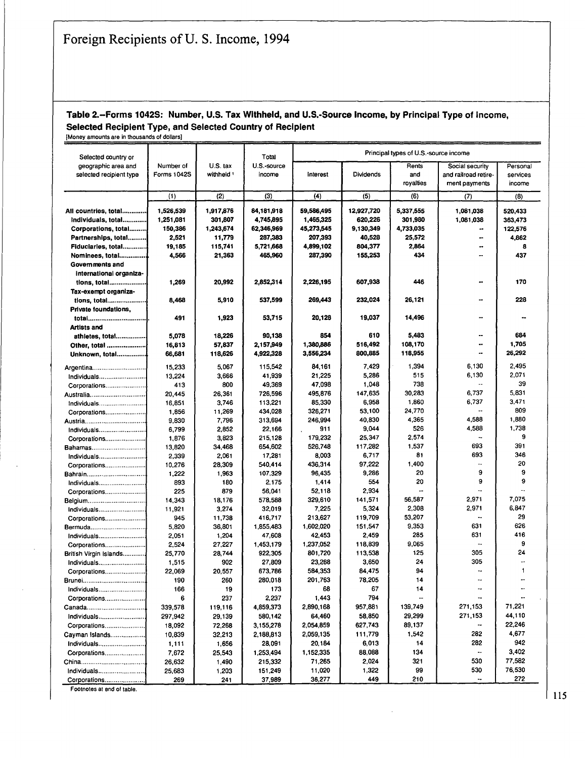## Table 2.-Forms 1042S: Number, **U.S.** Tax Withheld, and U.S.-Source Income, **by** Principal Type of Income, Selected Recipient Type, and Selected Country of Recipient

[Money amounts are in thousands of dollars] Selected country or **Selected country or Number of Selected Country or Selected Country or Number of Selected Country or Number of Secial Selected Country or Number of Secial Secial Secial Secial Secial Secial Seci** geographic area and Number of U.S. tax U.S.-source **The Constant Construction Constant Social security Personal**<br>Selected recipient type Forms 1042S withheld income Interest Dividends and and railroad retire- services selected recipient type Forms 1042S withheld income Interest Dividends and and railroad retire- services<br>income ment payments | income **(1)** (2) **(3)** (4) **(5) (6) (7) (8) All** countries, total **............. 1,526,539 1,917,876** 84,181,918 **59,586,495 12,927,720 5,337,555 1,081,038** 520,433 Individuals, total**............. 1,251,081 301,807** 4,745,895 **1,465,325 620,226 301,980 1,081,038 363,473** Corporations, total **......... 150,386** 1,243,674 **62,346,969** 45,273,545 9,130,349 **4,733,035 122,576** Partnerships, total **..........** 2,521 **11,779 287,383 207,393** 40,528 **25,572** 4,862 Fiduciaries, total **............. 19,185** 115,741 **5,721,668** 4,899,102 **804,377** 2,864 **8** Nominees, total**..............** 4,566 **21,363** 465,960 **287,390 155,263** 434 437 Governments and International organizations, total **.................... 1,269 20,992** 2,852,314 **2,226,195 607,938** 446 **170** Tax-exempt organizations, total **.....................** 8,468 **5,910 637,599** 269,443 232,024 **26,121** 228 Private foundations, .. μ. total **............................... .** 491 **1,923 53,715** 20,128 **19,037** 14,496 Artists and athletes, total**................ 5,078 18,226 90,138** 854 **610** 5,483 684 Other, total **..................... 16,813 57,837 2,157,949** 1,380,WS 516,492 **108,170 1,705** Unknown, total**............... 66,681 118,626** 4,922,328 **3,556934 800,885 118,955 26,292** Argentina**............................. 15,233 5,067** 115,542 84,161 7,429 1,394 **6,130** 2,495 Individuals **.........................** 13,224 **3,666** 41,939 **21,225 5,286 <sup>515</sup> 6,130 2,071** Corporations **......................** 413 **Soo 49,369 47,098** 1,048 **738 39** Australia **..............................** 20,445 **26,361 726,596 495,876** 147,6a5 **30,283 6,737 5,831** Individuals **......................... 16,851 3,746 113,221 85,330 6,958 1,860 6,737** 3,471 Corporations **...................... 1,856 11,269** 434,028 **326,271 53,100 24,770 <sup>809</sup>** Austria**................................. 9,830 7,796 313,694** 246,994 40,830 **4,365 4,588 1,880** Individuals **......................... 6,799 2,852 22,166 911** 9,044 **526 4,588 1,738** Corporations**...................... 1,876 3,823 215,128 179,232** 25,347 2,574 **9** Bahamas **............................. 13,820** 34,468 **654,602 526.748 117,282 1,537 693 391** Individuals **......................... 2,339 2,061 17,281 8,003 6,717 <sup>81</sup> 693** 346 Corporations**...................... 10,276 28,309** 540,414 436,314 **97,222** 1,400 20 Bahrain**................................** 1,222 **1,963 107,329 96,435 9,286** 20 **<sup>9</sup> <sup>9</sup>** Individuals **......................... 893 180 2,175** 1,414 554 20 **9 9** Corporations**...................... 225 879** 56,041 **52,118** 2,934 Belgium **...............................** 14,343 **18,176 578,588 329,610** 141,571 **56,587 2,971 7,075** Individuals **......................... 11,921** 3,274 **32,019 7,225** 5,324 **2,308 2,971** 6,847 Corporations**......................** 945 **11,738 416,717 213,627 119,709 53,207 29** Bermuda**.............................. 5,820 36,801 1,855,483 1,602,020 151.547 9,353 <sup>631</sup> 626** Individuals **......................... 2,051** 1,204 **47,608** 42,453 2,459 **285 <sup>631</sup>** 416 Corporations**......................** 2,524 **27,227 1,453,179 1,237,052 118,839 9,065 9** British Virgin Islands **............ 25,770** 28,744 **922,305 801,720 113,538 125 305** 24 Individuals **......................... 1,515 902 27,809 23,288 3,650** 24 **305** Corporations**...................... 22,069 20,557 673,786 584,353** 84,475 94 **<sup>1</sup>** Brunei**................................. 190 260 280,018 201,763 78,205** <sup>14</sup> Individuals **......................... 166 19 173 68 67** 14 ۰.  $\ddot{\phantom{a}}$ Corporations **...................... 6 <sup>237</sup> 2,237** 1,443 <sup>794</sup> Canada**............................... 339,578 119,116 4,859,373 2,890,168 957,881 139,749 271,153 71,221** Individuals **......................... 297,942 29,139** 580,142 64,460 **58,850 29,299 271,153** 44,110 Corporations **...................... 18,092 72,268 3,155,278 2,054,859 627,743 89,137** 22,246 Cayman Islands **................... 10,839 32,213 2,188,813 2,059,135 111,779** 1,542 **<sup>282</sup> 4,677** Individuals**......................... 1,111 1,656 28,091** 20,184 **6,013** <sup>14</sup> **282** 942 Corporations **...................... 7,672 25,543** 1,253,494 **1,152,335 88,088** <sup>134</sup> 3,402 China**.................................. 26,632** 1,490 **215,332 71.265** 2,024 **<sup>321</sup> 530 77,582** Individuals**......................... 25,683 1,203** 151,249 11,020 **1,322 99 530 76,530** Corporations **...................... 269 <sup>1</sup>** <sup>241</sup> **<sup>1</sup> 37,989 <sup>1</sup> 36,277 <sup>1</sup>** 449 **<sup>1</sup>** <sup>210</sup> **<sup>1</sup> \_. <sup>1</sup> 272**

Footnotes at end of table.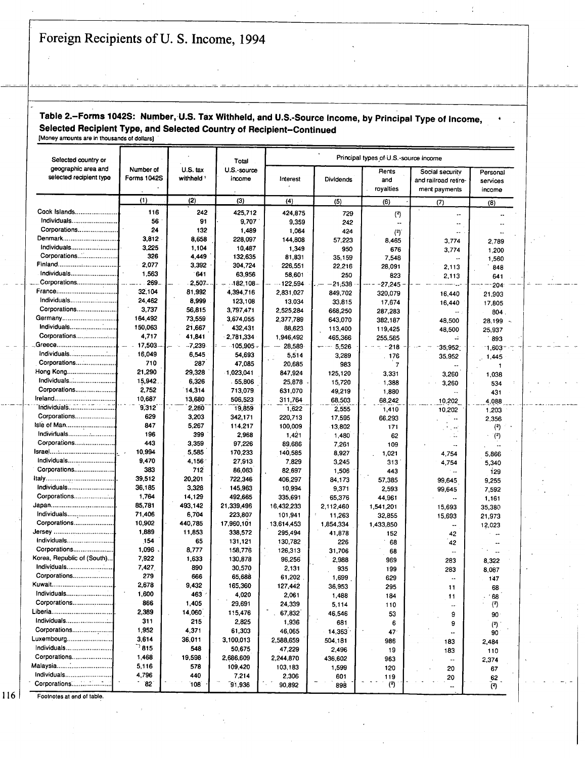# Table 2.-Forms 1042S: Number,-U.S. Tax Withheld, and U.S.-Source Income, **by** Principal Type of Income, Selected Recipient Type, and Selected Country of Recipient-Continued

[Money amounts are in thousands of dollars)

| Selected country or        |                 |                 | Total             | Principal types of U.S.-source income |                  |                 |                          |                       |  |  |
|----------------------------|-----------------|-----------------|-------------------|---------------------------------------|------------------|-----------------|--------------------------|-----------------------|--|--|
| geographic area and        | Number of       | $U.S.$ tax      | U.S.-source       |                                       |                  |                 | Rents<br>Social security |                       |  |  |
| selected recipient type    | Forms 1042S     | withheld '      | income            | Interest                              | <b>Dividends</b> | and             | and railroad retire-     | Personal<br>services  |  |  |
|                            |                 |                 |                   |                                       |                  | royalties       | ment payments            | income                |  |  |
|                            | (1)             | (2)             | (3)               | (4)                                   | (5)              | (6)             | (7)                      | (8)                   |  |  |
| Cook Islands               | 116             | 242             | 425,712           | 424.875                               | 729              | (2)             | ÷.                       |                       |  |  |
| Individuals                | 56              | 91              | 9,707             | 9,359                                 | 242              | ٠.              | ۰.                       |                       |  |  |
| Corporations               | 24              | 132             | 1,489             | 1,064                                 | 424              | (2)             | μ.                       |                       |  |  |
| Denmark                    | 3,812           | 8,658           | 228,097           | 144,808                               | 57,223           | 8,465           | 3,774                    | 2,789                 |  |  |
| Individuals                | 3,225           | 1,104           | 10,487            | 1,349                                 | 950              | 676             | 3,774                    | 1,200                 |  |  |
| Corporations               | 326             | 4,449           | 132,635           | 81,831                                | 35, 159          | 7,548           | $\ddotsc$                | 1,560                 |  |  |
|                            | 2,077           | 3,392           | 304,724           | 226,551                               | 22,216           | 28,091          | 2,113                    | 848                   |  |  |
| Individuals                | 1,563           | 641             | 63,956            | 58,601                                | 250              | 823             | 2,113                    | 641                   |  |  |
| Corporations               | 269.            | 2,507           | $-182.108$        | $-122,594$                            | $-21,538$        | 27,245          |                          | 204                   |  |  |
| France                     | 32,104          | 81,992          | 4,394,716         | 2,831,027                             | 849,702          | 320,079         | 16,440                   | 21,903                |  |  |
| Individuals                | 24,462          | 8,999           | 123,108           | 13,034                                | 33,815           | 17,674          | 16,440                   | 17,805                |  |  |
| Corporations               | 3,737           | 56,815          | 3.797,471         | 2,525,284                             | 668,250          | 287 283         |                          | 804                   |  |  |
|                            | 164,492         | 73,559          | 3,674,055         | 2,377,789                             | 643,070          | 382,187         | 48,500                   | $28.199 -$            |  |  |
| Individuals                | 150,063         | 21,667          | 432,431           | 88,623                                | 113,400          | 119,425         | 48,500                   | 25,937                |  |  |
| Corporations               | 4,717           | 41,841          | 2,781,334         | 1,946,492                             | 465,366          | 255,585         | чù.                      | 893                   |  |  |
| Individuals                | 17,503          | $-7,239$        | $-105,905 -$      | 28,589                                | 5,526            | $-218$          | 35,952                   | $-1,603$              |  |  |
|                            | 16,049          | 6,545           | 54.693            | 5,514                                 | 3,289            | 176             | 35,952                   | 1,445                 |  |  |
| Corporations               | 710             | 287             | 47,085            | 20,685                                | 983              | $\overline{7}$  | $\overline{\phantom{a}}$ | 1                     |  |  |
| Hong Kong<br>Individuals   | 21,290          | 29,328          | 1,023,041         | 847,924                               | 125,120          | 3,331           | 3,260                    | 1,038                 |  |  |
| Corporations               | 15,942<br>2,752 | 6,326           | .55,806           | 25,878                                | 15,720           | 1,388           | 3.260                    | 534                   |  |  |
| Ireland                    | 10,687          | 14,314          | 713,079           | 631,070                               | 49,219           | 1,880           | $\overline{\phantom{a}}$ | 431                   |  |  |
|                            | 9,312           | 13,680<br>2,280 | 506,523           | 311,764                               | 68,503           | 68,242          | 10,202                   | 4,088                 |  |  |
| Corporations               | 629             | 3,203           | 19,859<br>342,171 | 1,622<br>220,713                      | 2,555            | 1,410           | 10,202                   | 1,203                 |  |  |
|                            | 847             | 5,267           | 114,217           | 100,009                               | 17,595<br>13,802 | 66,293          | ٠.                       | 2,356                 |  |  |
| Individuals                | 196             | 399             | 2,968             | 1,421                                 | 1,480            | 171             | الدمار<br>$\mathbb{L}_+$ | (2)<br>$^{\circ}$ (2) |  |  |
| Corporations               | 443             | 3,359           | 97,226            | 89,686                                | 7,261            | 62<br>109       |                          |                       |  |  |
|                            | 10,994          | 5,585           | 170,233           | 140,585                               | 8,927            | 1,021           | 4,754                    | 5.866                 |  |  |
| Individuals                | 9.470           | 4,156           | 27,913            | 7,829                                 | 3,245            | 313             | 4,754                    | 5,340                 |  |  |
| Corporations               | 383             | 712             | 86,063            | 82,697                                | 1,506            | 443             | μ.                       | 129                   |  |  |
|                            | 39,512          | 20,201          | 722,346           | 406,297                               | 84,173           | 57,385          | 99,645                   | 9,255                 |  |  |
| Individuals                | 36,185          | 3,328           | 145,963           | 10,994                                | 9,371            | 2,593           | 99,645                   | 7,592                 |  |  |
| Corporations               | 1,764           | 14,129          | 492,665           | 335,691                               | 65,376           | 44.961          |                          | 1,161                 |  |  |
|                            | 85,781          | 493.142         | 21,339,496        | 16,432,233                            | 2,112,460        | 1,541,201       | 15,693                   | 35,380                |  |  |
| Individuals                | 71,406          | 6,704           | 223,807           | 101,941                               | 11,263           | 32,855          | 15,693                   | 21,973                |  |  |
| Corporations               | 10,902          | 440,785         | 17,960,101        | 13,614,453                            | 1,854,334        | 1.433.850       | $\overline{\phantom{a}}$ | 12,023                |  |  |
| Jersey                     | 1,889           | 11,853          | 338,572           | 295,494                               | 41,878           | 152             | 42                       |                       |  |  |
| Individuals                | 154             | 65              | 131,121           | 130,782                               | 226              | 68              | 42                       |                       |  |  |
| Corporations               | 1,096           | 8,777           | 158,776           | 126,313                               | 31,706           | 68              | $\overline{a}$           |                       |  |  |
| Korea, Republic of (South) | 7.922           | 1,633           | 130,878           | 96,256                                | 2,988            | 969             | 283                      | 8,322                 |  |  |
| Individuals                | 7,427           | 890             | 30,570            | 2,131                                 | 935              | 199             | 283                      | 8,087                 |  |  |
| Corporations               | 279             | 666             | 65,688            | 61,202                                | 1,699            | 629             |                          | 147                   |  |  |
| Kuwait                     | 2,678           | 9,432           | 165,360           | 127,442                               | 36,953           | 295             | 11                       | 68                    |  |  |
| Individuals                | 1,600           | 463             | 4,020             | 2,061                                 | 1,488            | 184             | 11                       | 68                    |  |  |
| Corporations               | 866             | 1,405           | 29,691            | 24,339                                | 5,114            | 110             | --                       | (2)                   |  |  |
| Liberia                    | 2,389           | 14,060          | 115,476           | 67,832                                | 46,546           | 53              | 9                        | $90 -$                |  |  |
| Individuals                | 311             | 215             | 2,825             | 1,936                                 | 681              | 6               | 9                        | $\left( 2\right)$     |  |  |
| Corporations               | 1,952           | 4,371           | 61,303            | 46,065                                | 14,363           | 47 <sup>°</sup> |                          | 90                    |  |  |
| Luxembourg                 | 3,614           | 36,011          | 3,100,013         | 2,588,659                             | 504,181          | 986             | 183                      | 2,484                 |  |  |
| Individuals                | $\sqrt{ }$ 815  | 548             | 50,675            | 47,229                                | 2,496            | 19              | 183                      | 110                   |  |  |
| Corporations               | 1,468           | 19,598          | 2,686,609         | 2,244,870                             | 436,602          | 963             | ۰.                       | 2,374                 |  |  |
| Malaysia                   | 5,116           | 578             | 109,420           | 103,183                               | 1,599            | 120             | 20                       | 67                    |  |  |
| Individuals                | 4,796           | 440             | 7,214             | 2,306                                 | 601              | 119             | 20                       | 62                    |  |  |
| Corporations               | 82              | 108             | 91,936            | 90,892                                | 898              | (2)             |                          | (3)                   |  |  |

 $\mathbb{Z}^2$ 

Footnotes at end of table.

 $116$